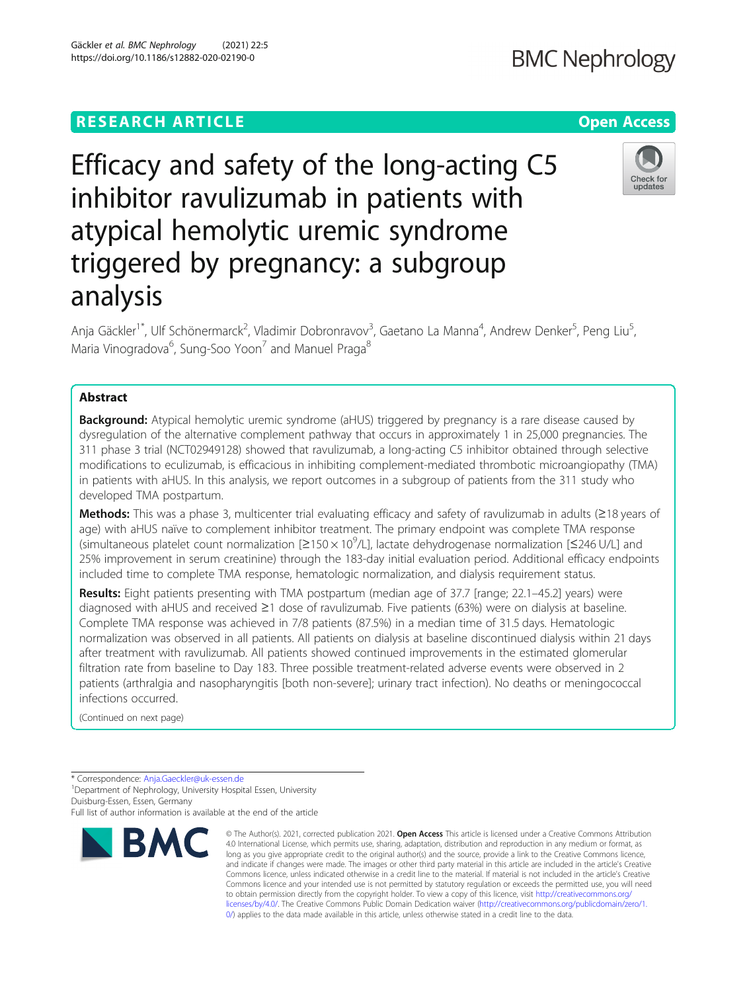## **RESEARCH ARTICLE Example 2014 12:30 The Contract of Contract ACCESS**

# Efficacy and safety of the long-acting C5 inhibitor ravulizumab in patients with atypical hemolytic uremic syndrome triggered by pregnancy: a subgroup analysis

Anja Gäckler<sup>1\*</sup>, Ulf Schönermarck<sup>2</sup>, Vladimir Dobronravov<sup>3</sup>, Gaetano La Manna<sup>4</sup>, Andrew Denker<sup>5</sup>, Peng Liu<sup>5</sup> , Maria Vinogradova<sup>6</sup>, Sung-Soo Yoon<sup>7</sup> and Manuel Praga<sup>8</sup>

### Abstract

**Background:** Atypical hemolytic uremic syndrome (aHUS) triggered by pregnancy is a rare disease caused by dysregulation of the alternative complement pathway that occurs in approximately 1 in 25,000 pregnancies. The 311 phase 3 trial (NCT02949128) showed that ravulizumab, a long-acting C5 inhibitor obtained through selective modifications to eculizumab, is efficacious in inhibiting complement-mediated thrombotic microangiopathy (TMA) in patients with aHUS. In this analysis, we report outcomes in a subgroup of patients from the 311 study who developed TMA postpartum.

Methods: This was a phase 3, multicenter trial evaluating efficacy and safety of ravulizumab in adults (≥18 years of age) with aHUS naïve to complement inhibitor treatment. The primary endpoint was complete TMA response (simultaneous platelet count normalization [≥150 × 10<sup>9</sup> /L], lactate dehydrogenase normalization [≤246 U/L] and 25% improvement in serum creatinine) through the 183-day initial evaluation period. Additional efficacy endpoints included time to complete TMA response, hematologic normalization, and dialysis requirement status.

Results: Eight patients presenting with TMA postpartum (median age of 37.7 [range; 22.1–45.2] years) were diagnosed with aHUS and received ≥1 dose of ravulizumab. Five patients (63%) were on dialysis at baseline. Complete TMA response was achieved in 7/8 patients (87.5%) in a median time of 31.5 days. Hematologic normalization was observed in all patients. All patients on dialysis at baseline discontinued dialysis within 21 days after treatment with ravulizumab. All patients showed continued improvements in the estimated glomerular filtration rate from baseline to Day 183. Three possible treatment-related adverse events were observed in 2 patients (arthralgia and nasopharyngitis [both non-severe]; urinary tract infection). No deaths or meningococcal infections occurred.

(Continued on next page)

<sup>1</sup> Department of Nephrology, University Hospital Essen, University Duisburg-Essen, Essen, Germany

Full list of author information is available at the end of the article



<sup>©</sup> The Author(s). 2021, corrected publication 2021. Open Access This article is licensed under a Creative Commons Attribution 4.0 International License, which permits use, sharing, adaptation, distribution and reproduction in any medium or format, as long as you give appropriate credit to the original author(s) and the source, provide a link to the Creative Commons licence, and indicate if changes were made. The images or other third party material in this article are included in the article's Creative Commons licence, unless indicated otherwise in a credit line to the material. If material is not included in the article's Creative Commons licence and your intended use is not permitted by statutory regulation or exceeds the permitted use, you will need to obtain permission directly from the copyright holder. To view a copy of this licence, visit [http://creativecommons.org/](http://creativecommons.org/licenses/by/4.0/) [licenses/by/4.0/.](http://creativecommons.org/licenses/by/4.0/) The Creative Commons Public Domain Dedication waiver ([http://creativecommons.org/publicdomain/zero/1.](http://creativecommons.org/publicdomain/zero/1.0/) [0/\)](http://creativecommons.org/publicdomain/zero/1.0/) applies to the data made available in this article, unless otherwise stated in a credit line to the data.



<sup>\*</sup> Correspondence: [Anja.Gaeckler@uk-essen.de](mailto:Anja.Gaeckler@uk-essen.de) <sup>1</sup>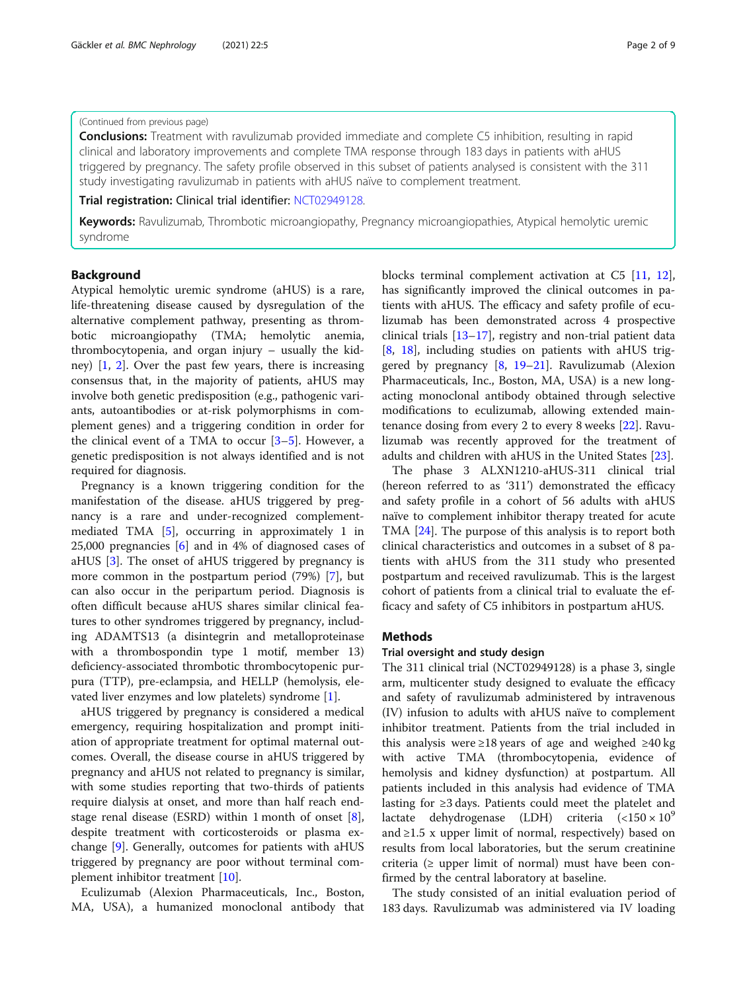#### (Continued from previous page)

**Conclusions:** Treatment with ravulizumab provided immediate and complete C5 inhibition, resulting in rapid clinical and laboratory improvements and complete TMA response through 183 days in patients with aHUS triggered by pregnancy. The safety profile observed in this subset of patients analysed is consistent with the 311 study investigating ravulizumab in patients with aHUS naïve to complement treatment.

Trial registration: Clinical trial identifier: [NCT02949128](https://clinicaltrials.gov/ct2/show/NCT02949128).

Keywords: Ravulizumab, Thrombotic microangiopathy, Pregnancy microangiopathies, Atypical hemolytic uremic syndrome

#### Background

Atypical hemolytic uremic syndrome (aHUS) is a rare, life-threatening disease caused by dysregulation of the alternative complement pathway, presenting as thrombotic microangiopathy (TMA; hemolytic anemia, thrombocytopenia, and organ injury – usually the kidney)  $[1, 2]$  $[1, 2]$  $[1, 2]$  $[1, 2]$ . Over the past few years, there is increasing consensus that, in the majority of patients, aHUS may involve both genetic predisposition (e.g., pathogenic variants, autoantibodies or at-risk polymorphisms in complement genes) and a triggering condition in order for the clinical event of a TMA to occur  $[3-5]$  $[3-5]$  $[3-5]$ . However, a genetic predisposition is not always identified and is not required for diagnosis.

Pregnancy is a known triggering condition for the manifestation of the disease. aHUS triggered by pregnancy is a rare and under-recognized complementmediated TMA [\[5\]](#page-7-0), occurring in approximately 1 in 25,000 pregnancies [[6\]](#page-7-0) and in 4% of diagnosed cases of aHUS [[3](#page-7-0)]. The onset of aHUS triggered by pregnancy is more common in the postpartum period (79%) [[7\]](#page-7-0), but can also occur in the peripartum period. Diagnosis is often difficult because aHUS shares similar clinical features to other syndromes triggered by pregnancy, including ADAMTS13 (a disintegrin and metalloproteinase with a thrombospondin type 1 motif, member 13) deficiency-associated thrombotic thrombocytopenic purpura (TTP), pre-eclampsia, and HELLP (hemolysis, elevated liver enzymes and low platelets) syndrome [\[1](#page-7-0)].

aHUS triggered by pregnancy is considered a medical emergency, requiring hospitalization and prompt initiation of appropriate treatment for optimal maternal outcomes. Overall, the disease course in aHUS triggered by pregnancy and aHUS not related to pregnancy is similar, with some studies reporting that two-thirds of patients require dialysis at onset, and more than half reach endstage renal disease (ESRD) within 1 month of onset [\[8](#page-7-0)], despite treatment with corticosteroids or plasma exchange [\[9\]](#page-7-0). Generally, outcomes for patients with aHUS triggered by pregnancy are poor without terminal complement inhibitor treatment [[10](#page-7-0)].

Eculizumab (Alexion Pharmaceuticals, Inc., Boston, MA, USA), a humanized monoclonal antibody that blocks terminal complement activation at C5 [[11,](#page-7-0) [12](#page-7-0)], has significantly improved the clinical outcomes in patients with aHUS. The efficacy and safety profile of eculizumab has been demonstrated across 4 prospective clinical trials [[13](#page-7-0)–[17](#page-7-0)], registry and non-trial patient data [[8,](#page-7-0) [18\]](#page-7-0), including studies on patients with aHUS triggered by pregnancy [\[8](#page-7-0), [19](#page-8-0)–[21](#page-8-0)]. Ravulizumab (Alexion Pharmaceuticals, Inc., Boston, MA, USA) is a new longacting monoclonal antibody obtained through selective modifications to eculizumab, allowing extended maintenance dosing from every 2 to every 8 weeks [[22](#page-8-0)]. Ravulizumab was recently approved for the treatment of adults and children with aHUS in the United States [\[23\]](#page-8-0).

The phase 3 ALXN1210-aHUS-311 clinical trial (hereon referred to as '311') demonstrated the efficacy and safety profile in a cohort of 56 adults with aHUS naïve to complement inhibitor therapy treated for acute TMA [[24](#page-8-0)]. The purpose of this analysis is to report both clinical characteristics and outcomes in a subset of 8 patients with aHUS from the 311 study who presented postpartum and received ravulizumab. This is the largest cohort of patients from a clinical trial to evaluate the efficacy and safety of C5 inhibitors in postpartum aHUS.

#### Methods

#### Trial oversight and study design

The 311 clinical trial (NCT02949128) is a phase 3, single arm, multicenter study designed to evaluate the efficacy and safety of ravulizumab administered by intravenous (IV) infusion to adults with aHUS naïve to complement inhibitor treatment. Patients from the trial included in this analysis were ≥18 years of age and weighed ≥40 kg with active TMA (thrombocytopenia, evidence of hemolysis and kidney dysfunction) at postpartum. All patients included in this analysis had evidence of TMA lasting for ≥3 days. Patients could meet the platelet and lactate dehydrogenase (LDH) criteria  $\left( <150 \times 10^{9} \right)$ and ≥1.5 x upper limit of normal, respectively) based on results from local laboratories, but the serum creatinine criteria ( $\geq$  upper limit of normal) must have been confirmed by the central laboratory at baseline.

The study consisted of an initial evaluation period of 183 days. Ravulizumab was administered via IV loading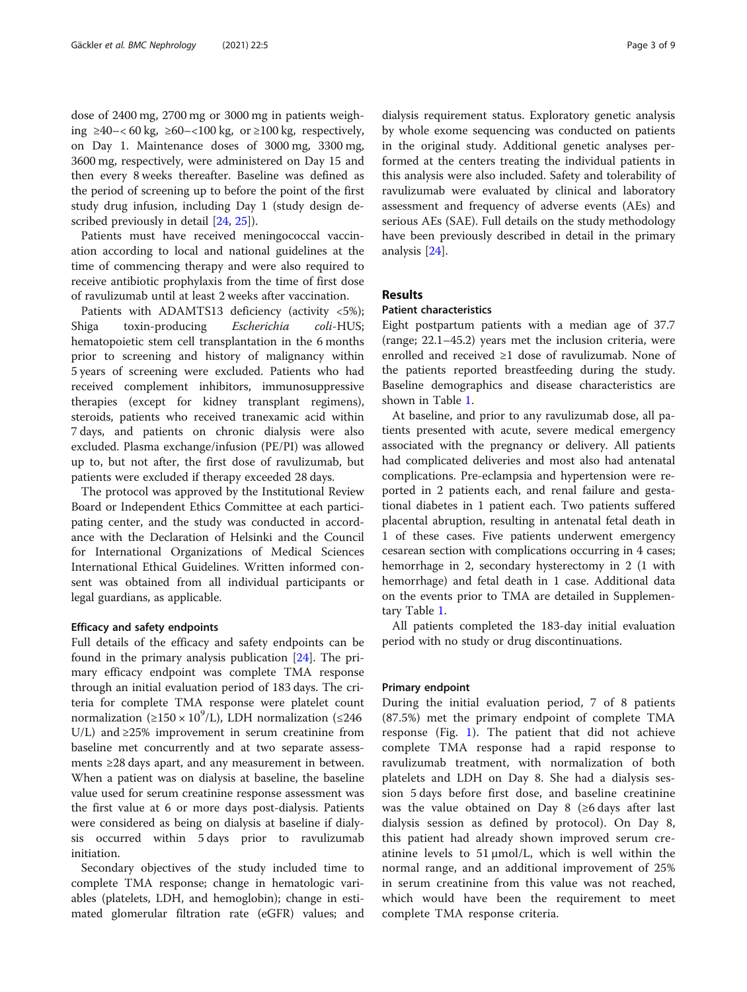dose of 2400 mg, 2700 mg or 3000 mg in patients weighing ≥40–< 60 kg, ≥60–<100 kg, or ≥100 kg, respectively, on Day 1. Maintenance doses of 3000 mg, 3300 mg, 3600 mg, respectively, were administered on Day 15 and then every 8 weeks thereafter. Baseline was defined as the period of screening up to before the point of the first study drug infusion, including Day 1 (study design de-scribed previously in detail [[24](#page-8-0), [25](#page-8-0)]).

Patients must have received meningococcal vaccination according to local and national guidelines at the time of commencing therapy and were also required to receive antibiotic prophylaxis from the time of first dose of ravulizumab until at least 2 weeks after vaccination.

Patients with ADAMTS13 deficiency (activity <5%); Shiga toxin-producing Escherichia coli-HUS; hematopoietic stem cell transplantation in the 6 months prior to screening and history of malignancy within 5 years of screening were excluded. Patients who had received complement inhibitors, immunosuppressive therapies (except for kidney transplant regimens), steroids, patients who received tranexamic acid within 7 days, and patients on chronic dialysis were also excluded. Plasma exchange/infusion (PE/PI) was allowed up to, but not after, the first dose of ravulizumab, but patients were excluded if therapy exceeded 28 days.

The protocol was approved by the Institutional Review Board or Independent Ethics Committee at each participating center, and the study was conducted in accordance with the Declaration of Helsinki and the Council for International Organizations of Medical Sciences International Ethical Guidelines. Written informed consent was obtained from all individual participants or legal guardians, as applicable.

#### Efficacy and safety endpoints

Full details of the efficacy and safety endpoints can be found in the primary analysis publication [[24](#page-8-0)]. The primary efficacy endpoint was complete TMA response through an initial evaluation period of 183 days. The criteria for complete TMA response were platelet count normalization (≥150 × 10<sup>9</sup>/L), LDH normalization (≤246 U/L) and  $\geq$  25% improvement in serum creatinine from baseline met concurrently and at two separate assessments ≥28 days apart, and any measurement in between. When a patient was on dialysis at baseline, the baseline value used for serum creatinine response assessment was the first value at 6 or more days post-dialysis. Patients were considered as being on dialysis at baseline if dialysis occurred within 5 days prior to ravulizumab initiation.

Secondary objectives of the study included time to complete TMA response; change in hematologic variables (platelets, LDH, and hemoglobin); change in estimated glomerular filtration rate (eGFR) values; and

dialysis requirement status. Exploratory genetic analysis by whole exome sequencing was conducted on patients in the original study. Additional genetic analyses performed at the centers treating the individual patients in this analysis were also included. Safety and tolerability of ravulizumab were evaluated by clinical and laboratory assessment and frequency of adverse events (AEs) and serious AEs (SAE). Full details on the study methodology have been previously described in detail in the primary analysis [\[24\]](#page-8-0).

#### Results

#### Patient characteristics

Eight postpartum patients with a median age of 37.7 (range; 22.1–45.2) years met the inclusion criteria, were enrolled and received ≥1 dose of ravulizumab. None of the patients reported breastfeeding during the study. Baseline demographics and disease characteristics are shown in Table [1.](#page-3-0)

At baseline, and prior to any ravulizumab dose, all patients presented with acute, severe medical emergency associated with the pregnancy or delivery. All patients had complicated deliveries and most also had antenatal complications. Pre-eclampsia and hypertension were reported in 2 patients each, and renal failure and gestational diabetes in 1 patient each. Two patients suffered placental abruption, resulting in antenatal fetal death in 1 of these cases. Five patients underwent emergency cesarean section with complications occurring in 4 cases; hemorrhage in 2, secondary hysterectomy in 2 (1 with hemorrhage) and fetal death in 1 case. Additional data on the events prior to TMA are detailed in Supplementary Table [1](#page-6-0).

All patients completed the 183-day initial evaluation period with no study or drug discontinuations.

#### Primary endpoint

During the initial evaluation period, 7 of 8 patients (87.5%) met the primary endpoint of complete TMA response (Fig. [1\)](#page-4-0). The patient that did not achieve complete TMA response had a rapid response to ravulizumab treatment, with normalization of both platelets and LDH on Day 8. She had a dialysis session 5 days before first dose, and baseline creatinine was the value obtained on Day 8 ( $\geq 6$  days after last dialysis session as defined by protocol). On Day 8, this patient had already shown improved serum creatinine levels to 51  $\mu$ mol/L, which is well within the normal range, and an additional improvement of 25% in serum creatinine from this value was not reached, which would have been the requirement to meet complete TMA response criteria.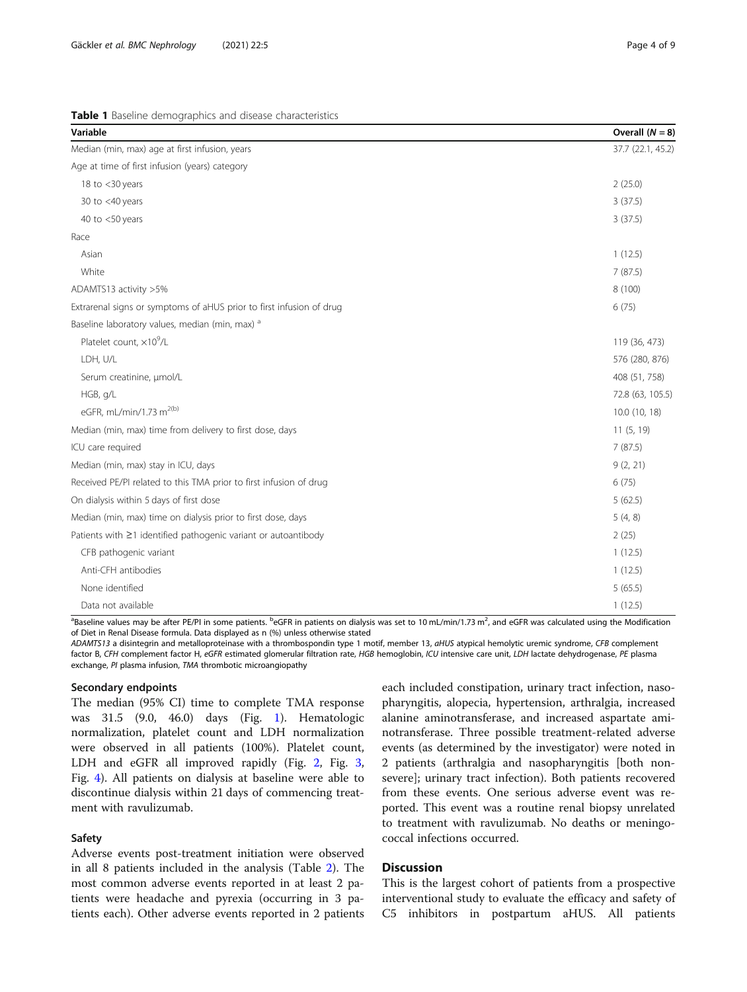<span id="page-3-0"></span>

|  |  | Table 1 Baseline demographics and disease characteristics |  |  |
|--|--|-----------------------------------------------------------|--|--|
|--|--|-----------------------------------------------------------|--|--|

| Variable                                                             | Overall $(N = 8)$ |
|----------------------------------------------------------------------|-------------------|
| Median (min, max) age at first infusion, years                       | 37.7 (22.1, 45.2) |
| Age at time of first infusion (years) category                       |                   |
| 18 to <30 years                                                      | 2(25.0)           |
| 30 to $<$ 40 years                                                   | 3(37.5)           |
| 40 to $<$ 50 years                                                   | 3(37.5)           |
| Race                                                                 |                   |
| Asian                                                                | 1(12.5)           |
| White                                                                | 7(87.5)           |
| ADAMTS13 activity >5%                                                | 8 (100)           |
| Extrarenal signs or symptoms of aHUS prior to first infusion of drug | 6(75)             |
| Baseline laboratory values, median (min, max) a                      |                   |
| Platelet count, ×10 <sup>9</sup> /L                                  | 119 (36, 473)     |
| LDH, U/L                                                             | 576 (280, 876)    |
| Serum creatinine, µmol/L                                             | 408 (51, 758)     |
| HGB, g/L                                                             | 72.8 (63, 105.5)  |
| eGFR, mL/min/1.73 m <sup>2(b)</sup>                                  | 10.0 (10, 18)     |
| Median (min, max) time from delivery to first dose, days             | 11(5, 19)         |
| ICU care required                                                    | 7(87.5)           |
| Median (min, max) stay in ICU, days                                  | 9(2, 21)          |
| Received PE/PI related to this TMA prior to first infusion of drug   | 6(75)             |
| On dialysis within 5 days of first dose                              | 5(62.5)           |
| Median (min, max) time on dialysis prior to first dose, days         | 5(4, 8)           |
| Patients with ≥1 identified pathogenic variant or autoantibody       | 2(25)             |
| CFB pathogenic variant                                               | 1(12.5)           |
| Anti-CFH antibodies                                                  | 1(12.5)           |
| None identified                                                      | 5(65.5)           |
| Data not available                                                   | 1(12.5)           |

<sup>a</sup>Baseline values may be after PE/PI in some patients. <sup>b</sup>eGFR in patients on dialysis was set to 10 mL/min/1.73 m<sup>2</sup>, and eGFR was calculated using the Modification of Diet in Renal Disease formula. Data displayed as n (%) unless otherwise stated

ADAMTS13 a disintegrin and metalloproteinase with a thrombospondin type 1 motif, member 13, aHUS atypical hemolytic uremic syndrome, CFB complement factor B, CFH complement factor H, eGFR estimated glomerular filtration rate, HGB hemoglobin, ICU intensive care unit, LDH lactate dehydrogenase, PE plasma exchange, PI plasma infusion, TMA thrombotic microangiopathy

#### Secondary endpoints

The median (95% CI) time to complete TMA response was 31.5 (9.0, 46.0) days (Fig. [1\)](#page-4-0). Hematologic normalization, platelet count and LDH normalization were observed in all patients (100%). Platelet count, LDH and eGFR all improved rapidly (Fig. [2](#page-4-0), Fig. [3](#page-5-0), Fig. [4](#page-5-0)). All patients on dialysis at baseline were able to discontinue dialysis within 21 days of commencing treatment with ravulizumab.

#### Safety

Adverse events post-treatment initiation were observed in all 8 patients included in the analysis (Table [2](#page-6-0)). The most common adverse events reported in at least 2 patients were headache and pyrexia (occurring in 3 patients each). Other adverse events reported in 2 patients

each included constipation, urinary tract infection, nasopharyngitis, alopecia, hypertension, arthralgia, increased alanine aminotransferase, and increased aspartate aminotransferase. Three possible treatment-related adverse events (as determined by the investigator) were noted in 2 patients (arthralgia and nasopharyngitis [both nonsevere]; urinary tract infection). Both patients recovered from these events. One serious adverse event was reported. This event was a routine renal biopsy unrelated to treatment with ravulizumab. No deaths or meningococcal infections occurred.

#### **Discussion**

This is the largest cohort of patients from a prospective interventional study to evaluate the efficacy and safety of C5 inhibitors in postpartum aHUS. All patients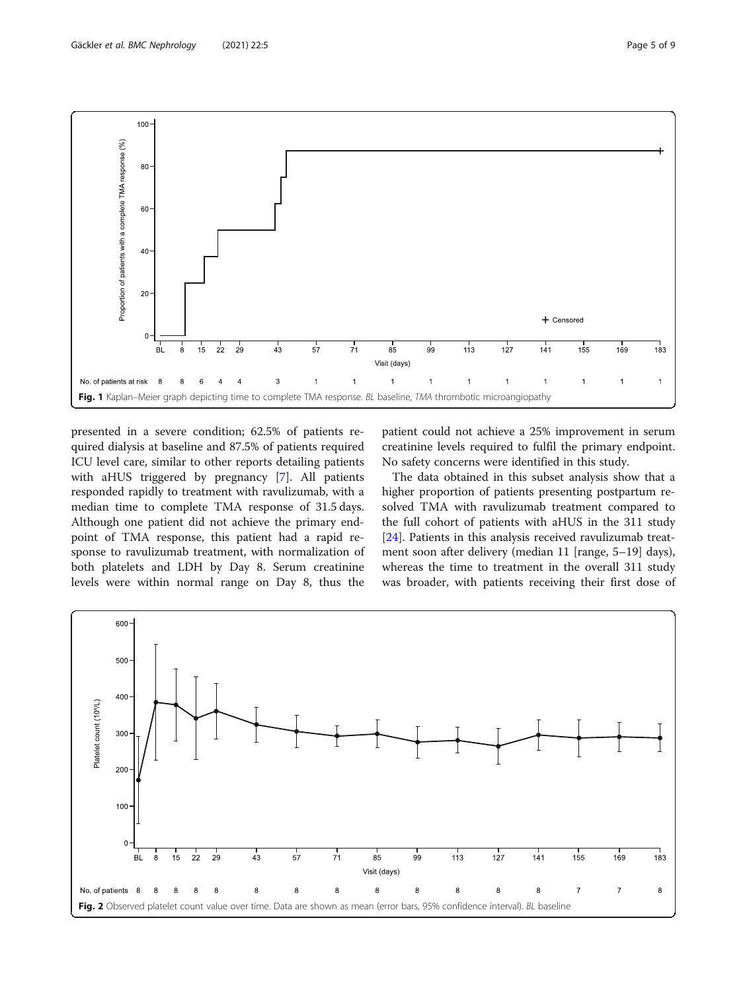<span id="page-4-0"></span>

presented in a severe condition; 62.5% of patients required dialysis at baseline and 87.5% of patients required ICU level care, similar to other reports detailing patients with aHUS triggered by pregnancy [[7\]](#page-7-0). All patients responded rapidly to treatment with ravulizumab, with a median time to complete TMA response of 31.5 days. Although one patient did not achieve the primary endpoint of TMA response, this patient had a rapid response to ravulizumab treatment, with normalization of both platelets and LDH by Day 8. Serum creatinine levels were within normal range on Day 8, thus the patient could not achieve a 25% improvement in serum creatinine levels required to fulfil the primary endpoint. No safety concerns were identified in this study.

The data obtained in this subset analysis show that a higher proportion of patients presenting postpartum resolved TMA with ravulizumab treatment compared to the full cohort of patients with aHUS in the 311 study [[24\]](#page-8-0). Patients in this analysis received ravulizumab treatment soon after delivery (median 11 [range, 5–19] days), whereas the time to treatment in the overall 311 study was broader, with patients receiving their first dose of

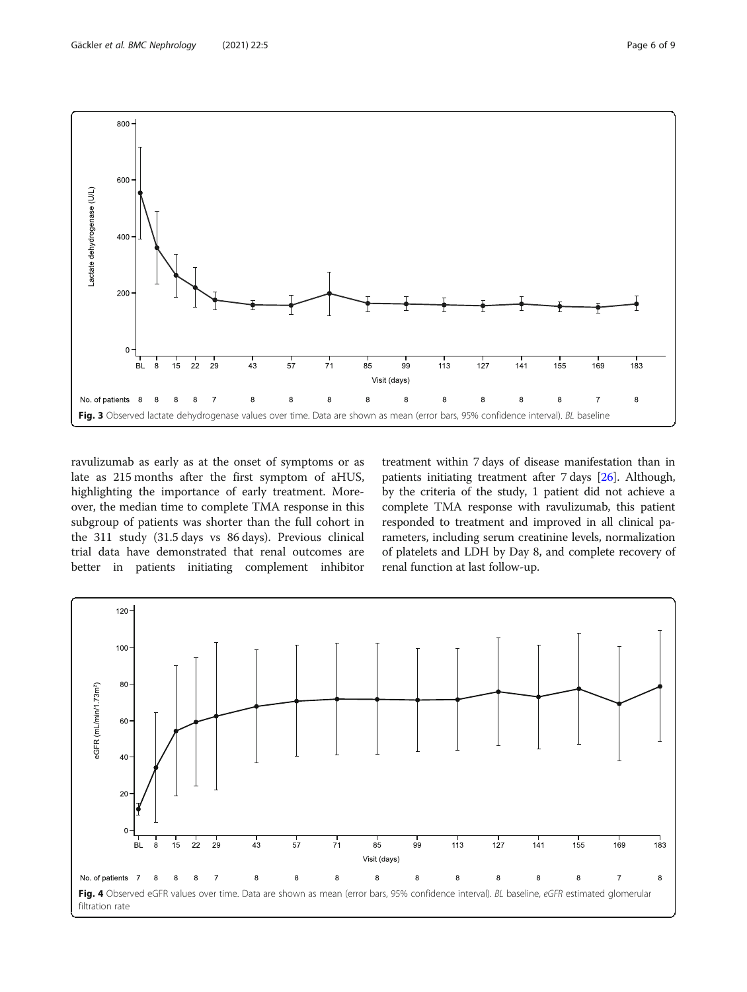<span id="page-5-0"></span>

ravulizumab as early as at the onset of symptoms or as late as 215 months after the first symptom of aHUS, highlighting the importance of early treatment. Moreover, the median time to complete TMA response in this subgroup of patients was shorter than the full cohort in the 311 study (31.5 days vs 86 days). Previous clinical trial data have demonstrated that renal outcomes are better in patients initiating complement inhibitor

treatment within 7 days of disease manifestation than in patients initiating treatment after 7 days [\[26\]](#page-8-0). Although, by the criteria of the study, 1 patient did not achieve a complete TMA response with ravulizumab, this patient responded to treatment and improved in all clinical parameters, including serum creatinine levels, normalization of platelets and LDH by Day 8, and complete recovery of renal function at last follow-up.

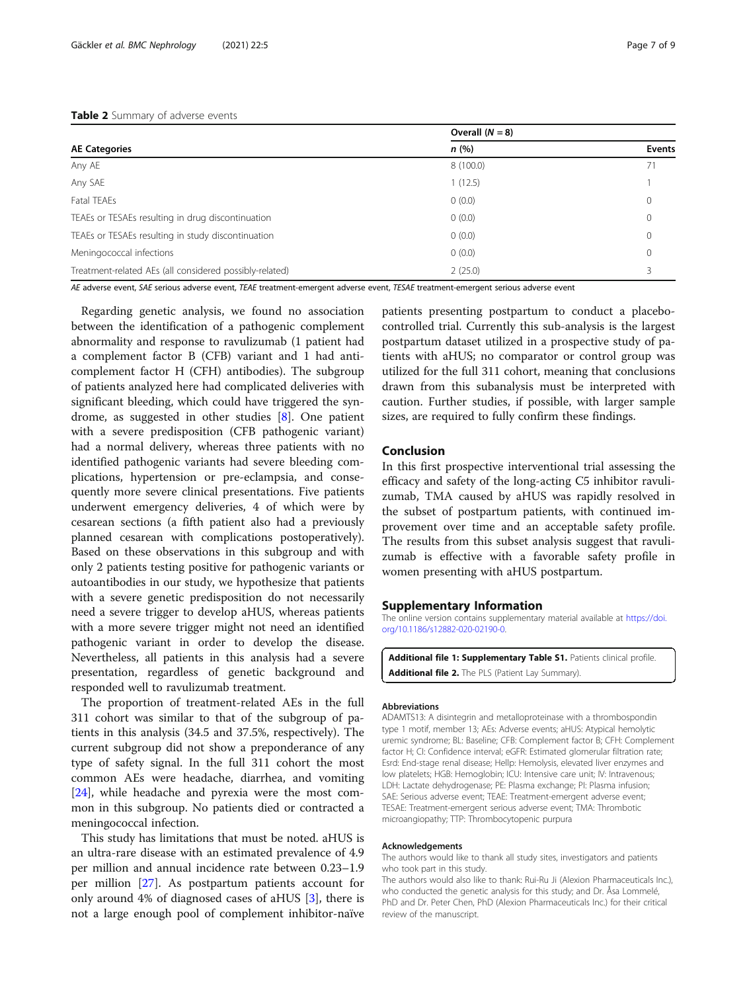#### <span id="page-6-0"></span>Table 2 Summary of adverse events

|                                                         | Overall $(N = 8)$ |               |  |
|---------------------------------------------------------|-------------------|---------------|--|
| <b>AE Categories</b>                                    | n(%)              | <b>Events</b> |  |
| Any AE                                                  | 8 (100.0)         | 71            |  |
| Any SAE                                                 | 1(12.5)           |               |  |
| Fatal TEAEs                                             | 0(0.0)            |               |  |
| TEAEs or TESAEs resulting in drug discontinuation       | 0(0.0)            |               |  |
| TEAEs or TESAEs resulting in study discontinuation      | 0(0.0)            | 0             |  |
| Meningococcal infections                                | 0(0.0)            | $\Omega$      |  |
| Treatment-related AEs (all considered possibly-related) | 2(25.0)           |               |  |

AE adverse event, SAE serious adverse event, TEAE treatment-emergent adverse event, TESAE treatment-emergent serious adverse event

Regarding genetic analysis, we found no association between the identification of a pathogenic complement abnormality and response to ravulizumab (1 patient had a complement factor B (CFB) variant and 1 had anticomplement factor H (CFH) antibodies). The subgroup of patients analyzed here had complicated deliveries with significant bleeding, which could have triggered the syndrome, as suggested in other studies [\[8](#page-7-0)]. One patient with a severe predisposition (CFB pathogenic variant) had a normal delivery, whereas three patients with no identified pathogenic variants had severe bleeding complications, hypertension or pre-eclampsia, and consequently more severe clinical presentations. Five patients underwent emergency deliveries, 4 of which were by cesarean sections (a fifth patient also had a previously planned cesarean with complications postoperatively). Based on these observations in this subgroup and with only 2 patients testing positive for pathogenic variants or autoantibodies in our study, we hypothesize that patients with a severe genetic predisposition do not necessarily need a severe trigger to develop aHUS, whereas patients with a more severe trigger might not need an identified pathogenic variant in order to develop the disease. Nevertheless, all patients in this analysis had a severe presentation, regardless of genetic background and responded well to ravulizumab treatment.

The proportion of treatment-related AEs in the full 311 cohort was similar to that of the subgroup of patients in this analysis (34.5 and 37.5%, respectively). The current subgroup did not show a preponderance of any type of safety signal. In the full 311 cohort the most common AEs were headache, diarrhea, and vomiting [[24\]](#page-8-0), while headache and pyrexia were the most common in this subgroup. No patients died or contracted a meningococcal infection.

This study has limitations that must be noted. aHUS is an ultra-rare disease with an estimated prevalence of 4.9 per million and annual incidence rate between 0.23–1.9 per million [\[27](#page-8-0)]. As postpartum patients account for only around 4% of diagnosed cases of aHUS [\[3](#page-7-0)], there is not a large enough pool of complement inhibitor-naïve patients presenting postpartum to conduct a placebocontrolled trial. Currently this sub-analysis is the largest postpartum dataset utilized in a prospective study of patients with aHUS; no comparator or control group was utilized for the full 311 cohort, meaning that conclusions drawn from this subanalysis must be interpreted with caution. Further studies, if possible, with larger sample sizes, are required to fully confirm these findings.

#### Conclusion

In this first prospective interventional trial assessing the efficacy and safety of the long-acting C5 inhibitor ravulizumab, TMA caused by aHUS was rapidly resolved in the subset of postpartum patients, with continued improvement over time and an acceptable safety profile. The results from this subset analysis suggest that ravulizumab is effective with a favorable safety profile in women presenting with aHUS postpartum.

#### Supplementary Information

The online version contains supplementary material available at [https://doi.](https://doi.org/10.1186/s12882-020-02190-0) [org/10.1186/s12882-020-02190-0.](https://doi.org/10.1186/s12882-020-02190-0)

Additional file 1: Supplementary Table S1. Patients clinical profile. Additional file 2. The PLS (Patient Lay Summary).

#### Abbreviations

ADAMTS13: A disintegrin and metalloproteinase with a thrombospondin type 1 motif, member 13; AEs: Adverse events; aHUS: Atypical hemolytic uremic syndrome; BL: Baseline; CFB: Complement factor B; CFH: Complement factor H; CI: Confidence interval; eGFR: Estimated glomerular filtration rate; Esrd: End-stage renal disease; Hellp: Hemolysis, elevated liver enzymes and low platelets; HGB: Hemoglobin; ICU: Intensive care unit; IV: Intravenous; LDH: Lactate dehydrogenase; PE: Plasma exchange; PI: Plasma infusion; SAE: Serious adverse event; TEAE: Treatment-emergent adverse event; TESAE: Treatment-emergent serious adverse event; TMA: Thrombotic microangiopathy; TTP: Thrombocytopenic purpura

#### Acknowledgements

The authors would like to thank all study sites, investigators and patients who took part in this study.

The authors would also like to thank: Rui-Ru Ji (Alexion Pharmaceuticals Inc.), who conducted the genetic analysis for this study; and Dr. Åsa Lommelé, PhD and Dr. Peter Chen, PhD (Alexion Pharmaceuticals Inc.) for their critical review of the manuscript.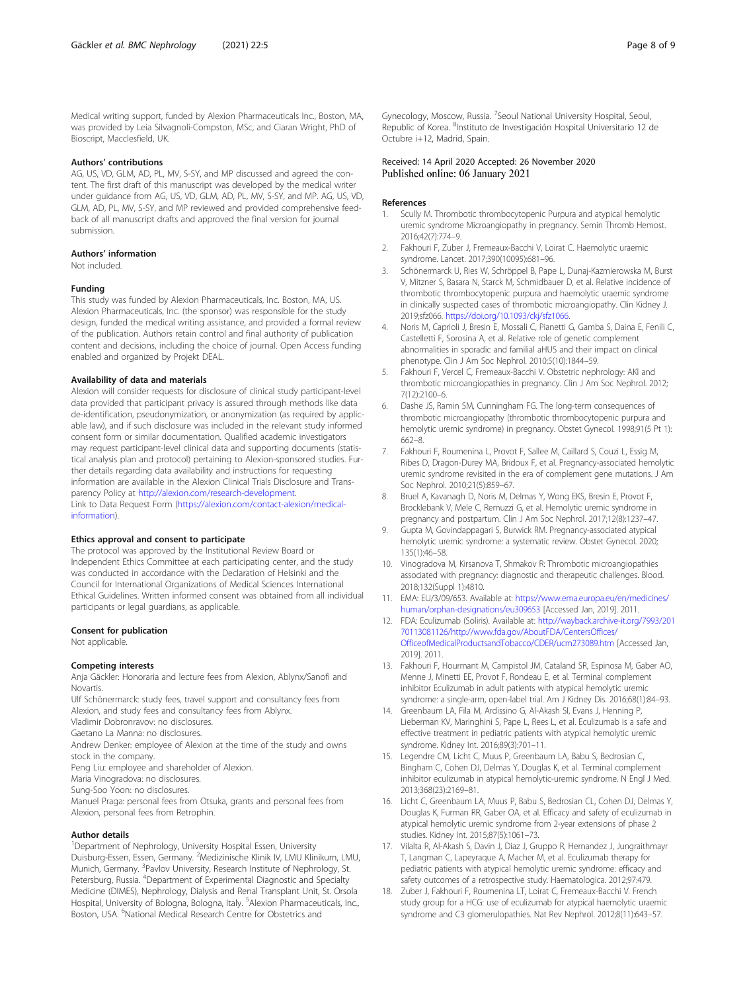<span id="page-7-0"></span>Medical writing support, funded by Alexion Pharmaceuticals Inc., Boston, MA, was provided by Leia Silvagnoli-Compston, MSc, and Ciaran Wright, PhD of Bioscript, Macclesfield, UK.

#### Authors' contributions

AG, US, VD, GLM, AD, PL, MV, S-SY, and MP discussed and agreed the content. The first draft of this manuscript was developed by the medical writer under guidance from AG, US, VD, GLM, AD, PL, MV, S-SY, and MP. AG, US, VD, GLM, AD, PL, MV, S-SY, and MP reviewed and provided comprehensive feedback of all manuscript drafts and approved the final version for journal submission.

#### Authors' information

Not included.

#### Funding

This study was funded by Alexion Pharmaceuticals, Inc. Boston, MA, US. Alexion Pharmaceuticals, Inc. (the sponsor) was responsible for the study design, funded the medical writing assistance, and provided a formal review of the publication. Authors retain control and final authority of publication content and decisions, including the choice of journal. Open Access funding enabled and organized by Projekt DEAL.

#### Availability of data and materials

Alexion will consider requests for disclosure of clinical study participant-level data provided that participant privacy is assured through methods like data de-identification, pseudonymization, or anonymization (as required by applicable law), and if such disclosure was included in the relevant study informed consent form or similar documentation. Qualified academic investigators may request participant-level clinical data and supporting documents (statistical analysis plan and protocol) pertaining to Alexion-sponsored studies. Further details regarding data availability and instructions for requesting information are available in the Alexion Clinical Trials Disclosure and Transparency Policy at <http://alexion.com/research-development>. Link to Data Request Form ([https://alexion.com/contact-alexion/medical](https://alexion.com/contact-alexion/medical-information)[information\)](https://alexion.com/contact-alexion/medical-information).

#### Ethics approval and consent to participate

The protocol was approved by the Institutional Review Board or Independent Ethics Committee at each participating center, and the study was conducted in accordance with the Declaration of Helsinki and the Council for International Organizations of Medical Sciences International Ethical Guidelines. Written informed consent was obtained from all individual participants or legal guardians, as applicable.

#### Consent for publication

Not applicable.

#### Competing interests

Anja Gäckler: Honoraria and lecture fees from Alexion, Ablynx/Sanofi and Novartis.

Ulf Schönermarck: study fees, travel support and consultancy fees from Alexion, and study fees and consultancy fees from Ablynx.

Vladimir Dobronravov: no disclosures.

Gaetano La Manna: no disclosures.

Andrew Denker: employee of Alexion at the time of the study and owns stock in the company.

Peng Liu: employee and shareholder of Alexion.

Maria Vinogradova: no disclosures.

Sung-Soo Yoon: no disclosures.

Manuel Praga: personal fees from Otsuka, grants and personal fees from Alexion, personal fees from Retrophin.

#### Author details

<sup>1</sup>Department of Nephrology, University Hospital Essen, University Duisburg-Essen, Essen, Germany. <sup>2</sup>Medizinische Klinik IV, LMU Klinikum, LMU, Munich, Germany. <sup>3</sup>Pavlov University, Research Institute of Nephrology, St. Petersburg, Russia. <sup>4</sup>Department of Experimental Diagnostic and Specialty Medicine (DIMES), Nephrology, Dialysis and Renal Transplant Unit, St. Orsola Hospital, University of Bologna, Bologna, Italy. <sup>5</sup>Alexion Pharmaceuticals, Inc., Boston, USA. <sup>6</sup>National Medical Research Centre for Obstetrics and

Gynecology, Moscow, Russia. <sup>7</sup>Seoul National University Hospital, Seoul Republic of Korea. <sup>8</sup>Instituto de Investigación Hospital Universitario 12 de Octubre i+12, Madrid, Spain.

#### Received: 14 April 2020 Accepted: 26 November 2020 Published online: 06 January 2021

#### References

- 1. Scully M. Thrombotic thrombocytopenic Purpura and atypical hemolytic uremic syndrome Microangiopathy in pregnancy. Semin Thromb Hemost. 2016;42(7):774–9.
- 2. Fakhouri F, Zuber J, Fremeaux-Bacchi V, Loirat C. Haemolytic uraemic syndrome. Lancet. 2017;390(10095):681–96.
- 3. Schönermarck U, Ries W, Schröppel B, Pape L, Dunaj-Kazmierowska M, Burst V, Mitzner S, Basara N, Starck M, Schmidbauer D, et al. Relative incidence of thrombotic thrombocytopenic purpura and haemolytic uraemic syndrome in clinically suspected cases of thrombotic microangiopathy. Clin Kidney J. 2019;sfz066. [https://doi.org/10.1093/ckj/sfz1066.](https://doi.org/10.1093/ckj/sfz1066)
- 4. Noris M, Caprioli J, Bresin E, Mossali C, Pianetti G, Gamba S, Daina E, Fenili C, Castelletti F, Sorosina A, et al. Relative role of genetic complement abnormalities in sporadic and familial aHUS and their impact on clinical phenotype. Clin J Am Soc Nephrol. 2010;5(10):1844–59.
- 5. Fakhouri F, Vercel C, Fremeaux-Bacchi V. Obstetric nephrology: AKI and thrombotic microangiopathies in pregnancy. Clin J Am Soc Nephrol. 2012; 7(12):2100–6.
- 6. Dashe JS, Ramin SM, Cunningham FG. The long-term consequences of thrombotic microangiopathy (thrombotic thrombocytopenic purpura and hemolytic uremic syndrome) in pregnancy. Obstet Gynecol. 1998;91(5 Pt 1): 662–8.
- 7. Fakhouri F, Roumenina L, Provot F, Sallee M, Caillard S, Couzi L, Essig M, Ribes D, Dragon-Durey MA, Bridoux F, et al. Pregnancy-associated hemolytic uremic syndrome revisited in the era of complement gene mutations. J Am Soc Nephrol. 2010;21(5):859–67.
- 8. Bruel A, Kavanagh D, Noris M, Delmas Y, Wong EKS, Bresin E, Provot F, Brocklebank V, Mele C, Remuzzi G, et al. Hemolytic uremic syndrome in pregnancy and postpartum. Clin J Am Soc Nephrol. 2017;12(8):1237–47.
- 9. Gupta M, Govindappagari S, Burwick RM. Pregnancy-associated atypical hemolytic uremic syndrome: a systematic review. Obstet Gynecol. 2020; 135(1):46–58.
- 10. Vinogradova M, Kirsanova T, Shmakov R: Thrombotic microangiopathies associated with pregnancy: diagnostic and therapeutic challenges. Blood. 2018;132(Suppl 1):4810.
- 11. EMA: EU/3/09/653. Available at: [https://www.ema.europa.eu/en/medicines/](https://www.ema.europa.eu/en/medicines/human/orphan-designations/eu309653) [human/orphan-designations/eu309653](https://www.ema.europa.eu/en/medicines/human/orphan-designations/eu309653) [Accessed Jan, 2019]. 2011.
- 12. FDA: Eculizumab (Soliris). Available at: [http://wayback.archive-it.org/7993/201](http://wayback.archive-it.org/7993/20170113081126/http://www.fda.gov/AboutFDA/CentersOffices/OfficeofMedicalProductsandTobacco/CDER/ucm273089.htm) [70113081126/http://www.fda.gov/AboutFDA/CentersOffices/](http://wayback.archive-it.org/7993/20170113081126/http://www.fda.gov/AboutFDA/CentersOffices/OfficeofMedicalProductsandTobacco/CDER/ucm273089.htm) [OfficeofMedicalProductsandTobacco/CDER/ucm273089.htm](http://wayback.archive-it.org/7993/20170113081126/http://www.fda.gov/AboutFDA/CentersOffices/OfficeofMedicalProductsandTobacco/CDER/ucm273089.htm) [Accessed Jan, 2019]. 2011.
- 13. Fakhouri F, Hourmant M, Campistol JM, Cataland SR, Espinosa M, Gaber AO, Menne J, Minetti EE, Provot F, Rondeau E, et al. Terminal complement inhibitor Eculizumab in adult patients with atypical hemolytic uremic syndrome: a single-arm, open-label trial. Am J Kidney Dis. 2016;68(1):84–93.
- 14. Greenbaum LA, Fila M, Ardissino G, Al-Akash SI, Evans J, Henning P, Lieberman KV, Maringhini S, Pape L, Rees L, et al. Eculizumab is a safe and effective treatment in pediatric patients with atypical hemolytic uremic syndrome. Kidney Int. 2016;89(3):701–11.
- 15. Legendre CM, Licht C, Muus P, Greenbaum LA, Babu S, Bedrosian C, Bingham C, Cohen DJ, Delmas Y, Douglas K, et al. Terminal complement inhibitor eculizumab in atypical hemolytic-uremic syndrome. N Engl J Med. 2013;368(23):2169–81.
- 16. Licht C, Greenbaum LA, Muus P, Babu S, Bedrosian CL, Cohen DJ, Delmas Y, Douglas K, Furman RR, Gaber OA, et al. Efficacy and safety of eculizumab in atypical hemolytic uremic syndrome from 2-year extensions of phase 2 studies. Kidney Int. 2015;87(5):1061–73.
- 17. Vilalta R, Al-Akash S, Davin J, Diaz J, Gruppo R, Hernandez J, Jungraithmayr T, Langman C, Lapeyraque A, Macher M, et al. Eculizumab therapy for pediatric patients with atypical hemolytic uremic syndrome: efficacy and safety outcomes of a retrospective study. Haematologica. 2012;97:479.
- 18. Zuber J, Fakhouri F, Roumenina LT, Loirat C, Fremeaux-Bacchi V. French study group for a HCG: use of eculizumab for atypical haemolytic uraemic syndrome and C3 glomerulopathies. Nat Rev Nephrol. 2012;8(11):643–57.